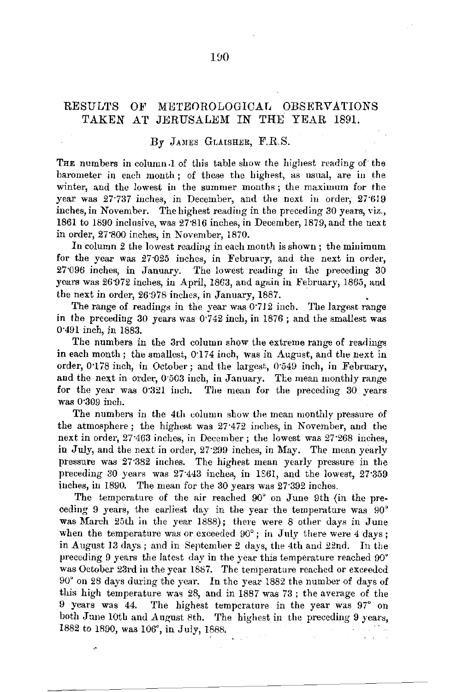### RESULTS OF METEOROLOGICAL OBSERVATIONS TAKEN AT JERUSALEM IN THE YEAR 1891.

#### $By$  JAMES GLAISHER, F.R.S.

THE numbers in column 1 of this table show the highest reading of the barometer in each month; of these the highest, as usual, are in the winter, and the lowest in the summer months; the maximum for the year was *27·737* inches, in December, and the next iu order, 27·619 inches, in November. The highest reading in the preceding 30 years, viz., 1861 to 1890 inclusive, was 27·816 inches, in December, 1879, and the next in order, 27'800 inches, in November, 1870.

In column 2 the lowest reading in each month is shown; the minimum for the year was 27025 inches, in February, and the next in order, 27·096 inches, in January. The lowest reading in the preceding 30 years was 26·972 inches, in April, 1863, and again in February, 1865, and the next in order, 26·978 inches, in January, 1887.

The range of readings in the year was  $0.712$  inch. The largest range in the precediug 30 years was 0·742 inch, in 1876; and the smallest was 0"491 inch, in 1883.

The numbers in the 3rd column show the extreme range of readings in each month; the smallest, 0.174 inch, was in August, and the next in order, 0·178 inch, in October; and the largest, 0·549 inch, in February, and the next in order, 0·503 inch, in January. The mean monthly range for the year was 0'321 inch. The mean for the preceding 30 years was 0·309 inch.

The numbers in the 4th column show the mean monthly pressure of the atmosphere; the highest was 27·472 inches, in November, and the next in order, 27<sup>-463</sup> inches, in December; the lowest was 27<sup>-268</sup> inches, in July, and the next in order, 27·299 inches, in May. The mean yearly pressure was 27·382 inches. The highest mean yearly pressure in the preceding 30 years was 27·443 inches, in 1361, and the lowest, 27"359 inches, in 1890. The mean for the 30 years was 27·392 inches.

The temperature of the air reached 90° on June 9th (in the preceding 9 years, the earliest day in the year the temperature was 90° was March 25th in the year 1888); there were 8 other days in June when the temperature was or exceeded  $90^\circ$ ; in July there were  $4 \text{ days}$ ; in August 13 days; and in September 2 days, the 4th and 22nd. In the preceding 9 years the latest day in the year this temperature reached 90° was October 23rd in the year 1887. The temperature reached or exceeded 90° on 28 days during the year. In the year 1882 the number of days of this high temperature was 28, and in 1887 was 73; the average of the 9 years was 44. The highest temperature in the year was 97° on both June 10th and August 8th. The highest in the preceding 9 years, 1882 to 1890, was 106°, in July, 1888.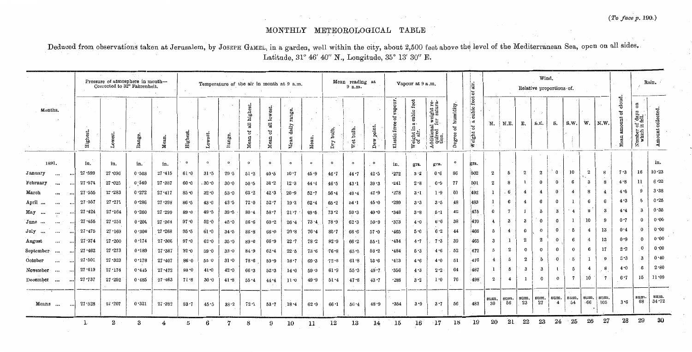## MONTHLY METEOROLOGICAL TABLE

Deduced from observations taken at Jerusalem, by JOSEPH GAMEL, in a garden, well within the city, about 2,500 feet above the level of the Mediterranean Sea, open on all sides. Latitude, 31° 46' 40" N., Longitude, 35° 13' 30" E.

|                       |          |            | Pressure of atmosphere in month-<br>Corrected to 32° Fahrenheit. |              |                                       |          |           |          | Temperature of the air in month at 9 a.m. |                                         |                                   |          |              | Mean reading at<br>9 a.m. |                            |                               | Vapour at 9 a.m.                       |                                                                            |                           | air.<br>ិច                            | Wind.<br>Relative proportions of. |                         |                  |                  |                        |                  |                                 |                | Rain.                            |                                                    |               |
|-----------------------|----------|------------|------------------------------------------------------------------|--------------|---------------------------------------|----------|-----------|----------|-------------------------------------------|-----------------------------------------|-----------------------------------|----------|--------------|---------------------------|----------------------------|-------------------------------|----------------------------------------|----------------------------------------------------------------------------|---------------------------|---------------------------------------|-----------------------------------|-------------------------|------------------|------------------|------------------------|------------------|---------------------------------|----------------|----------------------------------|----------------------------------------------------|---------------|
| Months.               |          | Highest.   | $\sim$<br>Lower                                                  | A.<br>Range. | $\sim 10^6$<br>Mean.                  | High     | Lowest.   | ltange.  | all highest.<br>ិ<br>Mean                 | lowerest<br>$\overline{a}$<br>ď<br>Mean | range.<br>$_{\rm{dally}}$<br>Nean | Mean.    | bulb.<br>Dry | 1 A<br>bulb.<br>ಕ<br>ጅ    | point.<br>`B≍<br><b>Pe</b> | vapour.<br>ិ<br>Elastic force | cubic foot<br>Weight in a c<br>of air. | Additional weight required for satura-<br>quired for satura-<br>tion.<br>∢ | humidity.<br>°£<br>Degree | foot<br>cubic.<br>್ಷ<br>៉ិច<br>Weight | 'N.                               | N.E.                    | Е.               | S.E.             | s.                     | S.W.             | w.                              | N.W            | cloud.<br>$+2$<br>$\blacksquare$ | $\overline{5}$<br>Number of days<br>which it fell. | collected.    |
|                       |          |            |                                                                  |              |                                       | $\circ$  | $\Omega$  | $\sim$   |                                           | $\circ$                                 |                                   |          |              |                           |                            |                               | $\sim$                                 |                                                                            | $\circ$                   |                                       |                                   |                         |                  |                  |                        |                  |                                 |                |                                  |                                                    | in.           |
| 1891.                 |          | in.        | in.                                                              | in,          | in.                                   |          |           |          | $\circ$                                   |                                         | $\circ$                           | $\circ$  |              | $\circ$                   | $\circ$                    | in.                           | grs.                                   | grs.                                                                       |                           | grs.                                  |                                   |                         |                  |                  |                        |                  |                                 |                |                                  |                                                    | 10.23         |
| January<br>$\cdots$   |          | $27 - 599$ | 27.096                                                           | 0.503        | 27.415                                | 61.0     | 31.5      | 29.5     | $51-2$                                    | 40.5                                    | $10 - 7$                          | 45.9     | 46.7         | 44.7                      | 42.5                       | $-272$                        | 3.2                                    | 0.6                                                                        | 86                        | 502                                   | $\boldsymbol{2}$                  | 5                       | $\overline{2}$   | $\boldsymbol{2}$ | $\Omega$               | 10               | $\bf{2}$<br>$\ddot{\mathbf{z}}$ | -8             | 7.3                              | 16                                                 | $6 - 22$      |
| February<br>$\cdots$  | $\cdots$ | 27.574     | $27 - 025$                                                       | 0.549        | 27.387                                | 60.0     | $.30 - 0$ | 30.0     | 50.5                                      | 38.2                                    | $12 - 3$                          | 44.4     | 46.5         | 43.1                      | 39.3                       | $-241$                        | 2.8                                    | 0.9                                                                        | 77                        | 501                                   | $\boldsymbol{2}$                  | 8                       | -1.              | $\bf{0}$         | 0                      | 6                | 3                               | 8              | 4.8                              | 11                                                 |               |
| March<br>$\cdots$     |          | 27.555     | 27.283                                                           | 0.272        | 27.417                                | $85 - 0$ | 32.0      | 53.0     | $63 - 2$                                  | 42.3                                    | $20 - 9$                          | $52 - 7$ | 56.4         | 49.4                      | 42.9                       | .278                          | 3.1                                    | 1.9                                                                        | 60                        | 492                                   | -1                                | 6                       | $\overline{4}$   | 4                | $\bf{0}$               | $\boldsymbol{4}$ | 8                               | $\overline{4}$ | 4.6                              |                                                    | 3.38          |
| April<br>$\cdots$     | $\cdots$ | 27.557     | 27.271                                                           | 0.286        | $27 - 398$                            | $86 - 5$ | 43.0      | 43.5     | 72.0                                      | $52 - 7$                                | $19-3$                            | $62 - 4$ | 65.2         | 54.1                      | 45.0                       | •299                          | 3.3                                    | 3.5                                                                        | 48                        | 483                                   | $\epsilon$                        | 6                       | $\overline{4}$   | 6                | $\Omega$               |                  | 6                               | 6              | 4.3                              | 5                                                  | 0.25          |
| May<br>$\cdots$       | $\cdots$ | 27.424     | $27 - 164$                                                       | 0.260        | $27 - 299$                            | 89.0     | 49.5      | 39:5     | 80.4                                      | 58.7                                    | 21.7                              | 69.5     | $73 - 2$     | 59.3                      | 49.0                       | •348                          | 3.8                                    | 5:1                                                                        | 42                        | 475                                   | $\mathbf 0$                       | $\overline{\mathbf{r}}$ |                  | õ                | $\boldsymbol{3}$       | $\overline{4}$   | 8                               | -3             | 4.4                              | -3                                                 | 0.35          |
| June<br>$\cdots$      | $\cdots$ | 27.455     | $27 - 251$                                                       | 0.204        | 27.364                                | $97 - 0$ | 52.0      | 45.0     | 86.6                                      | $60-2$                                  | $26 - 4$                          | 73.4     | 78.9         | $62 - 3$                  | 50.9                       | $-373$                        | 4.0                                    | 6.6                                                                        | 38                        | 470                                   | $\overline{4}$                    | 3                       | $\cdot$ 3        | $\bf{0}$         | $\Omega$               |                  | 10                              | -9             | 0.7                              | $\Omega$                                           | 0.00          |
| July<br>$\cdots$      |          | $27 - 475$ | 27.169                                                           | 0.306        | $27 - 268$                            | 95.5     | 61.0      | $34 - 5$ | 86.8                                      | 66.0                                    | 20.8                              | $76 - 4$ | 80.7         | 66.6                      | 57.0                       | •465                          | 5.0                                    | 6.2                                                                        | 44                        | 466                                   | 5                                 | $\overline{4}$          | $\mathbf{0}$     | $\mathbf 0$      | $\bf{0}$               | 5                | $\overline{4}$                  | 13             | 0.4                              | $\Omega$                                           | 0.00          |
| August<br>$\cdots$    |          | 27.374     | 27.200                                                           | 0.174        | 27.306                                | 97.0     | 62.0      | 35.9     | 89.6                                      | $66 - 9$                                | 22.7                              | 78.2     | $82 - 9$     | 66.2                      | 55.1                       | .434                          | 4.7                                    | 7.3                                                                        | 39                        | 465                                   | $\boldsymbol{3}$                  | $\mathbf{1}$            | $\boldsymbol{2}$ | $\boldsymbol{2}$ | $\Omega$               | 6                | $\overline{4}$                  | 13             | 0.9                              | $^{\circ}$                                         | 0.00          |
| September<br>$\cdots$ | ا ۱۰۰۰   | 27.462     | $27 - 273$                                                       | 0.189        | $27 - 387$                            | $92-0$   | $59 - 0$  | 33.0     | 84.9                                      | $62 - 4$                                | $22 - 5$                          | 73.6     | $76 - 8$     | $65 - 9$                  | $58 - 2$                   | $-484$                        | 5.3                                    | 4.6                                                                        | 52                        | 472                                   | 5                                 | $\boldsymbol{2}$        | $\Omega$         | $\Omega$         | $\bf{0}$               | $\Omega$         | 6                               | 17             | 2.2                              | $^{\circ}$                                         | 0.00          |
| October<br>$\cdots$   | $\cdots$ | $27 - 501$ | 27.323                                                           | 0.178        | 27.407                                | 86.0     | 55.0      | $31 - 0$ | $78 - 6$                                  | 59.9                                    | 18.7                              | 69.3     | 72.8         | 61.8                      | 53.6                       | .413                          | 4.6                                    | 4.0                                                                        | 51                        | 476                                   | $\overline{4}$                    | $\tilde{\mathbf{p}}$    | $\boldsymbol{2}$ | 5                | $\Omega$               | 5                |                                 | 9              | 5.3                              | -3                                                 | 0.40          |
| November<br>$\cdots$  |          | $27 - 619$ | 27.174                                                           | 0.445        | $27 - 472$                            | 83.0     | 41.0      | 42.0     | 66.3                                      | 52.3                                    | 14.0                              | 59.3     | 61.9         | 55.3                      | 49.7                       | $-356$                        | 4.3                                    | 2.2                                                                        | 64                        | 487                                   | 1                                 | 5                       | -3               | 3                |                        | 5                | 4                               | 8              | 4.0                              | -6                                                 | 2.80          |
| December<br>$\cdots$  |          | 27.737     | $27 - 252$                                                       | 0.485        | $27 - 463$                            | 71.8     | 30.0      | $41 - 8$ | 55.4                                      | 44.4                                    | 11.0                              | 49.9     | 51.4         | 47.6                      | 43.7                       | $+286$                        | 3.2                                    | 1:0                                                                        | 76                        | 498                                   | $\mathbf{2}$                      |                         | $\mathbf{1}$     | $\Omega$         | $\Omega$               | $\overline{7}$   | 10                              | -7             | 6.7                              | 15                                                 | 11.09         |
| Means                 |          | 27.528     | $27 - 207$                                                       | 0.321        | فافاها ومستلفا بالسلسسة<br>$27 - 382$ | 83.7     | 45.5      | $38 - 2$ | $72 - 1$                                  | $53 - 7$                                | $18 - 4$                          | 62.9     | $66 - 1$     | $56 - 4$                  | 48.9                       | $-354$                        | 3.9                                    | 3.7                                                                        | 56                        | 483                                   | sum.<br>-30                       | sum.<br>56              | sum.<br>23       | sum.<br>27       | sum.<br>$\overline{4}$ | sum.<br>$-54$    | sum.<br>.66                     | sum<br>105     | 3.6                              | sum.<br>68                                         | sum.<br>34.72 |
|                       |          |            | $\bf{2}$                                                         | 3            |                                       | 5        | 6         | 7        | 8                                         | 9                                       | 10                                | 11       | 12           | 13                        | 14                         | $15\,$                        | 16                                     | $-17$                                                                      | 18                        | 19                                    | 20                                | 21                      | 22               | 23               | 24                     | 25               | 26                              | 27             | 28                               | 29                                                 | 30            |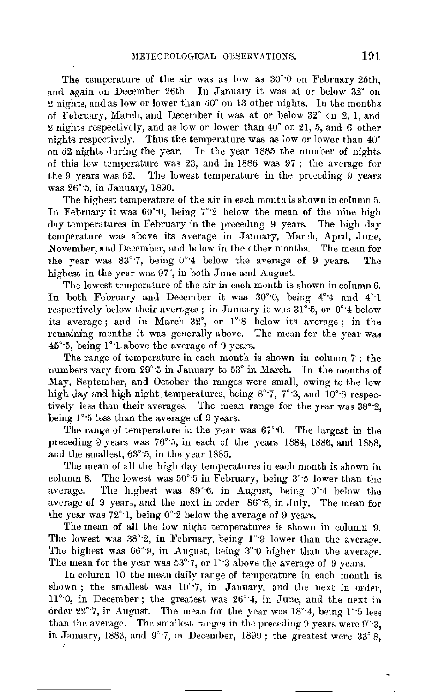The temperature of the air was as low as 30°·0 on February 25th, and again on December 26th. In January it was at or below 32° on 2 nights, and as low or lower than 40° on 13 other nights. In the months of February, March, and December it was at or below 32° on 2, 1, aud 2 nights respectively, and as low or lower than 40° on 21, 5, and 6 other nights respectively. Thus the temperature was as low or lower than 40° on 52 nights during the year. In the year 1885 the number of nights of this low temperature was  $23$ , and in 1886 was  $97$ ; the average for the 9 years was 52. The lowest temperature in the preceding 9 years was 26° 5, in January, 1890.

The highest temperature of the air in each month is shown in column 5. In February it was  $60^{\circ}$ , being  $7^{\circ}$ ? below the mean of the nine high day temperatures in February in the preceding 9 years. The high day temperature was above its average in January, March, April, June, November, and December, and below in the other months. The mean for 1ihe year was 83°·7, being 0°·4 below the average of 9 years. The highest in the year was 97°, in both June and August.

The lowest temperature of the air in each month is shown in column 6. In both February and December it was 30°0, being 4°4 and 4°1 respectively below their averages; in January it was 31°·5, or 0°·4 below its average; and in March 32°, or 1°·8 below its average ; in the remaining months it was generally above. The mean for the year was  $45^{\circ}$ :5, being  $1^{\circ}$ :1, above the average of 9 years.

The range of temperature in each month is shown in column 7 ; the numbers vary from 29°·5 in January to 53° in March. In the months of May, September, and October the rauges were small, owing to the low high day and high night temperatures, being 8°<sup>-</sup>7, 7°<sup>-</sup>3, and 10°<sup>-8</sup> respectively less than their averages. The mean range for the year was 38°·2, being 1°<sup>-5</sup> less than the average of 9 years.

The range of temperature in the year was 67°·0. The largest in the preceding 9 years was 76°·5, in each of the years 1884, 1886, and 1888, and the smallest, 63°·5, in the year 1885.

The mean of all the high day temperatures in each month is shown in column 8. The lowest was  $50^{\circ}$  5 in February, being  $3^{\circ}$  5 lower than the average. The highest was 89°·6, in August, being 0°•4 below the average of 9 years, and the next in order 86°·8, in July. The mean for the year was 72°·1, being 0°·2 below the average of 9 years.

The mean of all the low night temperatures is shown in column 9. The lowest was 38°2, in February, being 1°9 lower than the average. The highest was 66°9, in August, being 3°0 higher than the average. The mean for the year was  $53^{\circ}$ .7, or  $1^{\circ}$ :3 above the average of 9 years.

In column 10 the mean daily range of temperature in each month is shown; the smallest was  $10^{\circ}$ .7, in January, and the next in order, 11°·0, in December; the greatest was 26°·4, in June, and the next in order  $22^{\circ}$ .7, in August. The mean for the year was  $18^{\circ}$ .4, being  $1^{\circ}$  5 less than the average. The smallest ranges in the preceding 9 years were  $9^{\circ}$ . in January, 1883, and 9°·7, in December, 1890; the greatest were 33°·8,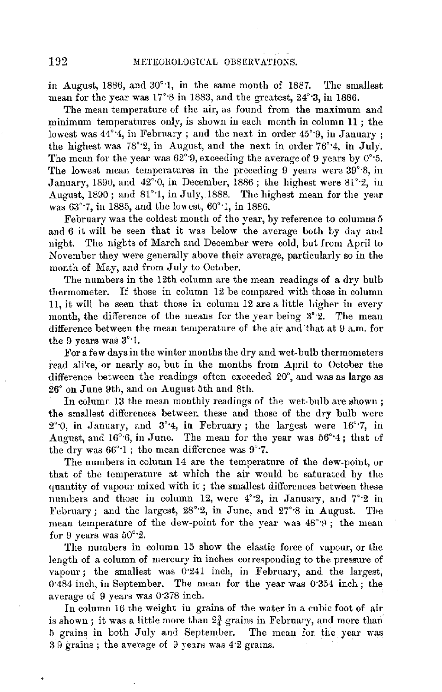in August, 1886, and 30°'1, in the same month of 1887. The smallest mean for the year was  $17°8$  in 1883, and the greatest,  $24°3$ , in 1886.

The mean temperature of the air, as found from the maximum and minimum temperatures only, is shown in each month in column 11 ; the lowest was  $44^{\circ}$ <sup>4</sup>, in February; and the next in order  $45^{\circ}$ 9, in January: the highest was 78°·2, in August, and the next in order 76°·4, in July. The mean for the year was  $62^{\circ}$ 9, exceeding the average of 9 years by 0° $\cdot$ 5. The lowest mean temperatures in the preceding 9 years were 39°·8, in January, 1890, and 42°<sup>-0</sup>, in December, 1886; the highest were 81<sup>°</sup><sup>-2</sup>, in August, 1890; and 81°·1, in July, 1888. The highest mean for the year was 63°·7, in 1885, and the lowest, 60°·1, in 1886.

February was the coldest month of the year, by reference to columns 5 and 6 it will be seen that it was below the average both by day and night. The nights of March and December were cold, but from April to November they were generally above their average, particularly so in the month of May, and from July to October.

The numbers in the 12th column are the mean readings of a dry bulb thermometer. If those in column 12 be compared with those in column 11, it will be seen that those in column 12 are a little higher in every month, the difference of the means for the year being  $3^{\circ}.2$ . The mean difference between the mean temperature of the air and that at 9 a.m. for the 9 years was 3°·1.

For a few days in the winter months the dry and wet-bulb thermometers read alike, or nearly so, but in the months from April to October the difference between the readings often exceeded 20°, and was as large as 26° on June 9th, and on August 5th and 8th.

In column 13 the mean monthly readings of the wet-bulb are shown; the smallest differenets between these and those of the dry bulb were  $2^{\circ}$ , in January, and  $3^{\circ}$ . 4, in February; the largest were  $16^{\circ}$ . in August, and 16°·6, in June. The mean for the year was 56°·4; that of the dry was 66°·1 ; the mean difference was 9°·7.

The numbers in column 14 are the temperature of the dew-point, or that of the temperature at which the air would be saturated by the quantity of vapour mixed with it; the smallest differences between these numbers and those in column 12, were 4°·2, in January, and 7°·2 in February; and the largest,  $28^{\circ}$ 2, in June, and  $27^{\circ}$ 8 in August. The mean temperature of the dew-point for the year was  $48^{\circ}$ (9); the mean for 9 years was  $50^{\circ}$  2.

The numbers in column 15 show the elastic force of vapour, or the length of a column of mercury in inches corresponding to the pressure of vapour; the smallest was 0·241 inch, in February, and the largest, 0·484 inch, in September. The mean for the year was 0·354 inch; the average of 9 years was 0-373 inch.

In column 16 the weight iu grains of the water in a cubic foot of air is shown; it was a little more than  $2<sub>x</sub><sup>3</sup>$  grains in February, and more than 5 grains in both July and September. The mean for the year was  $3.9$  grains; the average of  $9$  years was  $4.2$  grains.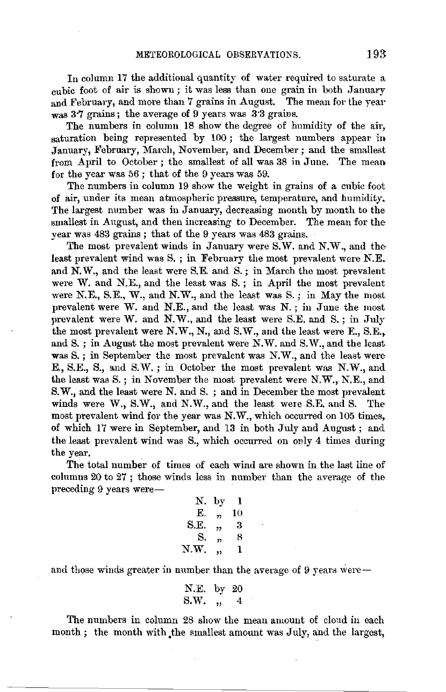In column 17 the additional quantity of water required to saturate a cubic foot of air is shown; it was less than one grain in both January and February, and more than 7 grains in August. The mean for the year was 3·7 grains; the average of 9 years was 3·3 grains.

The numbers in column. 18 show the degree of humidity of the air, saturation being represented by 100; the largest numbers appear in January, February, March, November, and December; and the smallest from April to October; the smallest of all was 38 in June. The mean, for the year was 56 ; that of the 9 years was 59.

The numbers in column 19 show the weight in grains of a cubic foot of air, under its mean atmospheric pressure, temperature, and humidity. The largest number was in January, decreasing month by month to the smallest in August, and then increasing to December. The mean for the year was 483 grains ; that of the 9 years was 483 grains.

The most prevalent winds in January were S.W. and N.W., and the least prevalent wind was S. ; in February the most prevalent were N.E. and N.W., and the least were S.E. and S.; in March the most prevalent were W. and N.E., and the least was S. ; in April the most prevalent were N.E., S.E., W., and N.W., and the least was S.; in May the most prevalent were W. and N.E., and the least was N.; in June the most prevalent were W. and N.W., and the least were S.E. and S.; in July the most prevalent were N.W., N., and S.W., and the least were E., S.E., and S.; in August the most prevalent were N.W. and S.W., and the least was S.; in September the most prevalent was N.W., and the least were E., S.E., S., and S.W.; in October the most prevalent was N.W., and the least was S. ; in November the most prevalent were N.W., N.E., and S.W., and the least were N. and S. ; and in December the most prevalent winds were W., S.W., and N.W., and the least were S.E. and S. The most prevalent wind for the year was N.W., which occurred on 105 times, of which 17 were in September, and 13 in both July and August ; and the least prevalent wind was S., which occurred on only 4 times during the year.

The total number of times of each wind are shown in the last line of columns 20 to 27 ; those winds less in number than the average of the preceding 9 years were-

| Ν.   | by             | 1  |
|------|----------------|----|
| E.   | $\overline{1}$ | 10 |
| S.E. | ,,             | з  |
| S.   | 37             | 8  |
| N.W. | ,,             | 1  |
|      |                |    |

and those winds greater in number than the average of 9 years were $-$ 

N.E. by 20 S.W. 
$$
\frac{1}{2}
$$
,  $\frac{1}{4}$ 

The numbers in column 28 show the mean amount of cloud in each month; the month with the smallest amount was July, and the largest,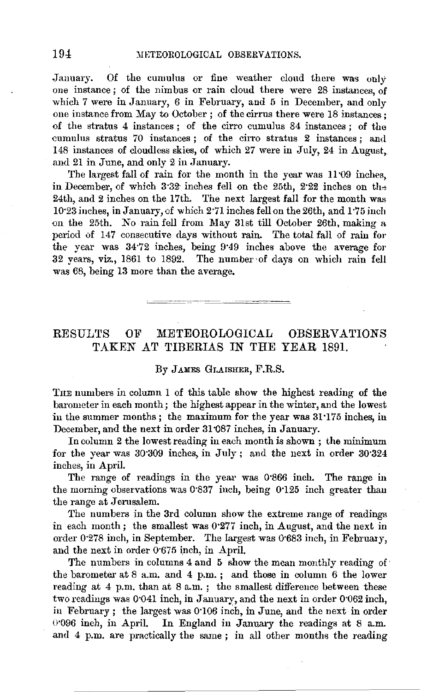January. Of the cumulus or fine weather clond there was only one instance; of the nimbus or rain cloud there were 28 instances, of which 7 were in January, 6 in February, and 5 in December, and only one instance from May to October; of the cirrus there were 18 instances; of the stratus 4 instances ; of the cirro cumulus 84 instances ; of the cumulus stratus 70 instances ; of the cirro stratus 2 instances ; and 148 instances of cloudless skies, of which 27 were in July, 24 in August, and 21 in June, and only 2 in January.

The largest fall of rain for the month in the year was 1109 inches. in December, of which 3:32 inches fell on the 25th, 2:22 inches on the 24th, and 2 inches on the 17th. The next largest fall for the month was 10·23 inches, in January, of which 2·71 inches fell on the 26th, and 1 ·75 inch on the 25th. No rain fell from May 31st till October 26th, making a period of 147 consecutive days without rain. The total fall of rain for the year was 34·72 inches, being 9"49 inches above the average for 32 years, viz., 1861 to 1892. The number of days on which rain fell was 68, being 13 more than the average.

### RESULTS OF METEOROLOGICAL OBSERVATIONS TAKEN AT TIBERIAS IN THE YEAR 1891.

#### By JAMES GLAISHER, F.R.S.

TnE numbers in column 1 of this table show the highest reading of the barometer in each month; the highest appear in the winter, and the lowest in the summer months; the maximum for the year was 31 ·175 inches, in December, and the next in order 31 087 inches, in January.

In column 2 the lowest reading in each month is shown ; the minimum for the year was 30·309 inches, in July; and the next in order 30·324 inches, in April.

The range of readings in the year was 0'866 inch. The range in the morning observations was 0·837 inch, being 0·125 inch greater than the range at Jerusalem.

The numbers in the 3rd column show the extreme range of readings in each month; the smallest was 0·277 inch, in August, and the next in order 0.278 inch, in September. The largest was 0.683 inch, in February, and the next in order 0·675 inch, in April.

The numbers in columns 4 and 5 show the mean monthly reading of the barometer at 8 a.m. and 4 p.m. ; and those in column 6 the lower reading at 4 p.m. than at 8 a.m.; the smallest difference between these two readings was 0·041 inch, in January, and the next in order 0·062 inch, in February; the largest was 0·106 inch, in June, and the next in order 0.096 inch, in April. In England in January the readings at 8 a.m. and 4 p.m. are practically the same ; in all other months the reading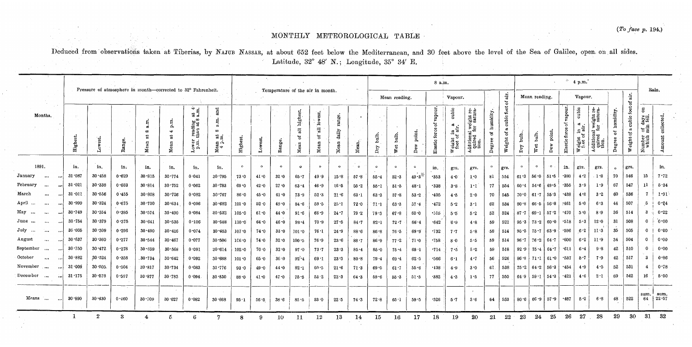# MONTHLY METEOROLOGICAL TABLE

Deduced from observations taken at Tiberias, by NAJUB NASSAR, at about 652 feet below the Mediterranean, and 30 feet above the level of the Sea of Galilee, open on all sides. Latitude, 32° 48' N.; Longitude, 35° 34' E.

|                                                              |                         |                  |       |                              |            |                                                                     |                                                                             |           | Temperature of the air in month. |                 |                                                   |                                        |                                          |          |                           |                      | 8 a.m.        |                               |                                           |                                                             |                           |                                |                                              |                  |                             | $^*$ 4 p.m.                   |                                     |                                                    |                                             |                           |                                               |               |
|--------------------------------------------------------------|-------------------------|------------------|-------|------------------------------|------------|---------------------------------------------------------------------|-----------------------------------------------------------------------------|-----------|----------------------------------|-----------------|---------------------------------------------------|----------------------------------------|------------------------------------------|----------|---------------------------|----------------------|---------------|-------------------------------|-------------------------------------------|-------------------------------------------------------------|---------------------------|--------------------------------|----------------------------------------------|------------------|-----------------------------|-------------------------------|-------------------------------------|----------------------------------------------------|---------------------------------------------|---------------------------|-----------------------------------------------|---------------|
| Pressure of atmosphere in month-corrected to 32° Fahrenheit. |                         |                  |       |                              |            |                                                                     |                                                                             |           |                                  |                 |                                                   |                                        | di.<br>Vapour.<br>Mean reading.<br>៵     |          |                           |                      |               |                               |                                           | Mean reading.<br>Vapour.                                    |                           |                                |                                              |                  |                             | air.<br>ቴ                     | Rain.                               |                                                    |                                             |                           |                                               |               |
| Months.                                                      | Highes                  | ēst              | ange. | a.m<br>$\infty$<br>ä<br>Mean | Á.<br>g    | at $4$ .<br>a.m.<br>reading<br>than at 8<br>$_{p.m.}^{\text{over}}$ | and<br>$\ddot{\phantom{a}}$<br>$\infty$<br>ី ខ<br>Mean<br>$4 \frac{1}{2}$ . | Highest.  | .owest.                          | Range.          | highest<br>$\overline{\overline{a}}$<br>ð<br>Mean | lowest.<br>$\overline{a}$<br>ä<br>Mean | range<br>daily<br>$\blacksquare$<br>Mea. | Mean.    | bulb.<br>$\Gamma_{\rm L}$ | $\frac{1}{2}$<br>Wet | point.<br>Dew | pour<br>5<br>force<br>Elastic | cubi<br>reight in a<br>foot of air.<br>B. | Additional weight re-<br>quired for satura-<br>tion.<br>-41 | humidity.<br>\$<br>Degree | cubic foot<br>ದ<br>ð<br>Weight | bulb.<br>$\mathbf{p}_{\mathbf{r}\mathbf{y}}$ | bulb.<br>Wet     | point.<br>$_{\mathrm{Dew}}$ | vapour.<br>័<br>Elastic force | cubic<br>in a<br>i air.<br>Weight i | $\frac{1}{2}$ aditional weight regimed for satural | humidity.<br>$\mathbf{\tilde{c}}$<br>Degree | cubic foot<br>Weight of a | g<br>of days<br>rain fell.<br>Number<br>which | collected.    |
| 1891,                                                        | in.                     | in.              | in.   | in.                          | in,        | in,                                                                 | in.                                                                         | $\circ$   | $\circ$                          | $\bullet$       | $\bullet$                                         | $\circ$                                | $\circ$                                  | $\circ$  | $\circ$                   | $\Omega$             | $\circ$       | in.                           | grs.                                      | grs.                                                        | $\circ$                   | grs.                           |                                              | $\bullet$        | $\cdot$ O                   | in.                           | gie.                                | grs.                                               | $\bullet$                                   | grs.                      |                                               | in.           |
| January<br>$\cdots$                                          | 31:087<br>              | 30.458           | 0.629 | 30.815                       | 30.774     | 0.041                                                               | 30.795                                                                      | 73.0      | 41.0                             | 32.0            | $65 - 7$                                          | 49.9                                   | 15.8                                     | $57 - 8$ | 55.4                      | 52.3                 | $49.3^*$      | .353                          | 4.0                                       | 1.0                                                         | 81                        | 554                            | 61.3                                         | $56-0$           | $51 - 5$                    | -380                          | 4.2                                 | $\cdot$ 1.8                                        | 70                                          | 546                       | 15                                            | 7.72          |
| February<br>$\cdots$                                         | 31.021<br>$\cdots$      | 30.338           | 0.683 | 30.814                       | $30 - 752$ | 0.062                                                               | $30 - 783$                                                                  | 69.0      | 42.0                             | 27.0            | $63 - 4$                                          | $46 - 9$                               | 16.5                                     | $55 - 2$ | 55.1                      | 51.5                 | 48.1          | .338                          | 3.8                                       | 1·1                                                         | 77                        | 554                            | $60 - 4$                                     | 54.6             | 49.5                        | $-355$                        | 3.9                                 | 1.9                                                | 67                                          | 547                       | 11                                            | 5.34          |
| March<br>$\cdots$                                            | $31 - 011$<br>$\cdots$  | 30.556           | 0.455 | 30.808                       | 30.726     | 0.082                                                               | $30 - 767$                                                                  | 86.0      | 45.0                             | 41.0            | 73.9                                              | 52.3                                   | 21.6                                     | $63-1$   | 63.3                      | $57 - 8$             | $53 - 2$      | $-405$                        | 4.5                                       | 2.0                                                         | 70                        | 545                            | 70.0                                         | $61 - 7$         | 55.3                        | $-438$                        | 4.8                                 | 3.2                                                | 60                                          | 536                       | $\overline{7}$                                | 1.91          |
| April<br>                                                    | $30 - 999$<br>$\ddotsc$ | 30.324           | 0.675 | 30.730                       | 30.634     | 0.096                                                               | 30.682                                                                      | 101.0     | 52.0                             | 49.0            | 84.6                                              | 59.5                                   | $25 - 1$                                 | 72.0     | 71.1                      | $63 - 3$             | 57.4          | $-472$                        | 5.2                                       | $3 \cdot 1$                                                 | 62                        | 534                            | 80.8                                         | 66 5             | $56 - 8$                    | $-461$                        | 5.0                                 | 6.3                                                | 44                                          | 507                       | 5.                                            | 0.24          |
| May<br>$\cdots$                                              | 30.749<br>$\cdots$      | 30.354           | 0.395 | 30.574                       | 30.490     | 0.084                                                               | 30.532                                                                      | $105 - 0$ | 61.0                             | 44.0            | $91-6$                                            | $66 - 9$                               | 24.7                                     | 79.2     | 79.3                      | 67.8                 | 60.0          | -515                          | $5.5\,$                                   | 5.2                                                         | $52\,$                    | 524                            | $87 - 7$                                     | $69 - 1$         | 57.2                        | -470                          | 5.0                                 | 8.9                                                | 36                                          | 514                       | 3                                             | 0.22          |
| June<br>$\cdots$                                             | 30.754                  | 30.379           | 0.375 | 30.641                       | 30.535     | 0.106                                                               | $30 - 588$                                                                  | 110.0     | 64 . 0                           | 46.0            | 98.4                                              | 70.9                                   | 27.5                                     | 84.7     | 82.1                      | $72 - 7$             | 66.4          | .642                          | 6.9                                       | 4.8                                                         | 59                        | 521                            | 95.3                                         | 73.2             | $\vert 60.0$                | .518                          | 5.3                                 | 12.0                                               | 31                                          | 508                       | $\mathbf{0}$                                  | 0.00          |
| July<br>$\mathcal{A}$ and $\mathcal{B}$                      | $30 - 605$<br>$\ddotsc$ | 30.309           | 0.296 | $30 \cdot 490$               | 30.416     | 0.074                                                               | 30.453                                                                      | $107 - 0$ | 74.0                             | 33.0            | 101.0                                             | 76.1                                   | 24.9                                     | 88.6     | 86.8                      | 76.5                 | 69.9          | .732                          | 7.7                                       | 5.8                                                         | $-58$                     | 514                            | $95 - 5$                                     | $75.7$ 63.9      |                             | $-596$                        | $6-2$                               | 11.3                                               | $35\,$                                      | 505                       | $\mathbf{0}$                                  | 0.00          |
| August<br>$\cdots$                                           | $30 - 637$              | $30 - 360$       | 0.277 | 30.544                       | 30.467     | 0.077                                                               | 30.506                                                                      | $106-0$   | 74.0                             | 32.0            | $100 - 5$                                         | $76 - 9$                               | 23.6                                     | 88.7     | 86.9                      | $77 - 2$             | 71.0          | .758                          | 8.0                                       | 5.5                                                         | 59                        | 514                            | 96.7                                         | 76.2             | 64.7                        | .600                          | 6.2                                 | 11.9                                               | 34                                          | 504                       | 0                                             | 0.00          |
| September<br>                                                | 30.750<br>$\ddotsc$     | 30.472           | 0.278 | $30 - 659$                   | 30.568     | 0.091                                                               | 30.614                                                                      | $102 - 0$ | 70.0                             | 32.0            | 97.0                                              | 73.7                                   | 23.3                                     | 85.4     | 85.0                      | $75 - 4$             | 69.1          | $-714$                        | $7 - 5$                                   | $5 - 2$                                                     | 59                        | 518                            | 92.9                                         | 75.4             | 64.7                        | -611                          | 6.4                                 | 9.8                                                | 42                                          | 510                       | $\mathbf{0}$                                  | 0.00          |
| October<br>$\sim$ $\sim$                                     | 30-882                  | $30 - 524$       | 0.358 | .30.734                      | 30.642     | 0.092                                                               | 30.688                                                                      | 101.0     | 65.0                             | 36 <sub>0</sub> | $92 \cdot 4$                                      | 69.1                                   | $23 - 3$                                 | 80.8     | 79.4                      | 69.4                 | $62 \cdot 5$  | -566                          | 6.1                                       | 4.7                                                         | 56                        | 526                            |                                              | $86.8$ 71.1 61.0 |                             | .537                          | 5.7                                 | 7.9                                                | 42                                          | 517                       | -3                                            | 0.86          |
| November<br>$\cdots$                                         | 31.009                  | 30.505           | 0.504 | 30.817                       | 30.734     | 0.033                                                               | 30.776                                                                      | 93.0      | 49.0                             | 44.0            | 82.1                                              | 60.5                                   | 21.6                                     | 71.3     | 69.5                      | 61.7                 | $55 - 6$      | $-438$                        | 4.9                                       | 3.0                                                         | 61.                       | 538                            | $75 - 2$                                     | 64.2             | 56.3                        | .454                          | 4.9                                 | 4.5                                                | 52                                          | 531                       | $\overline{4}$                                | 0.78          |
| December<br>$\cdots$                                         | 31.175<br>$\ddotsc$     | 30.578           | 0.597 | 30.877                       | $30 - 783$ | 0.094                                                               | $30 - 830$                                                                  | 88.0      | 41.0                             | 47.0            | $75 - 5$                                          | 53.2                                   | $22 - 3$                                 | $64 - 3$ | 59.6                      | $55 - 3$             | 51.5          | $-382$                        | 4.3                                       | 1.5                                                         | 77                        | 550                            | 64.9                                         | $59.1$ 54.3      |                             | $-421$                        | 46                                  | $2 \cdot 1$                                        | 69                                          | 542                       | 16                                            | 5 50          |
| Means<br>$\cdots$                                            | 30.890                  | $30 \cdot 430$   | 0.460 | $30 \cdot 709$               | 30.627     | 0.082                                                               | 30.668                                                                      | 95.1      | $56 - 5$                         | 38.6            | 85 • 5                                            | 33.0                                   | 22.5                                     | 74.3     | 72.8                      | 65.1                 | 59.5          | $-526$                        | 5.7                                       | $\mathbf{r}$<br>3.6                                         | 64                        | 533                            | $80 - 6$                                     | $6.9$ 57.9       |                             | .487                          | 5.2                                 | 6.8                                                | 48                                          | 522                       | sum.<br>64                                    | sum.<br>22.57 |
|                                                              | 1                       | $\boldsymbol{2}$ | 3     |                              | -5         | 6                                                                   | 7                                                                           | 8         | 9                                | 10              | -11                                               | 12                                     | 13                                       | 14       | 15                        | 16                   | 17            | 18                            | 19                                        | 20                                                          | 21                        | $22\,$                         | 23                                           | 24 <sub>1</sub>  | 25                          | 26                            | 27                                  | 28                                                 | 29                                          | 30 <sub>°</sub>           | 31                                            | $32\,$        |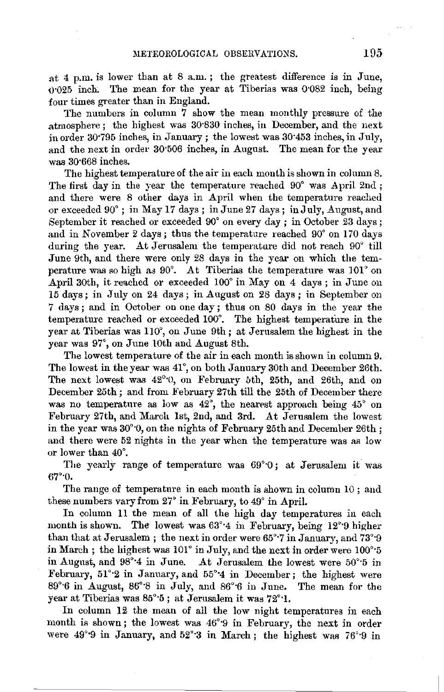at  $4 \,$  p.m. is lower than at  $8 \,$ a.m.; the greatest difference is in June. o·025 inch. The mean for the year at Tiberias was 0"082 inch, being four times greater than in England.

The numbers in column 7 show the mean monthly pressure of the .atmosphere ; the highest wa.s 30·830 inches, iu December, and the next in order  $30.795$  inches, in January; the lowest was  $30.453$  inches, in July, and the next in order 30·506 inches, in August. The mean for the year was 30·668 inches.

The highest temperature of the air in each month is shown in column 8. The first day in the year the temperature reached 90° was April 2nd ; and there were 8 other days in April when the temperature reached or exceeded 90°; iu May 17 days; in.June 27 days; in July, August, and September it reached or exceeded 90° on every day ; in October 23 days; and in November 2 days; thus the temperature reached 90° on 170 days during the year. At Jerusalem the temperature did not reach 90° till .June 9th, and there were only 28 days in the year on which the temperature was so high as 90°. At Tiberias the temperature was 101° on April 30th, it reached or exceeded 100° in May on 4 days; in June on 15 days; in July on 24 days; in August on 28 days; in September on 7 days; and in October on one day; thus on 80 days in the year the temperature reached or exceeded 100°. The highest temperature in the year at Tiberias was 110°, on June 9th; at Jerusalem the highest in the year was 97°, on June 10th and August 8th.

The lowest temperature of the air in each month is shown in column 9. The lowest in the year was 41°, on both January 30th and December 26th. The next lowest was 42°·0, on February bth, 25th, and 26th, and on December 25th; and from February 27th till the 25th of December there was no temperature as low as  $42^{\circ}$ , the nearest approach being  $45^{\circ}$  on February 27th, and March 1st, 2nd, and 3rd. At Jerusalem the lowest in the year was  $30^{\circ}$ , on the nights of February 25th and December 26th; and there were 52 nights in the year when the temperature was as low or lower than 40°.

The yearly range of temperature was  $69^{\circ}0$ ; at Jerusalem it was 67°·0.

The range of temperature in each month is shown in column 10 ; and these numbers vary from 27° in February, to 49' in April.

In column 11 the mean of all the high day temperatures in each month is shown. The lowest was  $63^{\circ}4$  in February, being  $12^{\circ}9$  higher than that at Jerusalem ; the next in order were 65°·7 in January, and 73'·9 in March; the highest was  $101^\circ$  in July, and the next in order were  $100^\circ 5$ in August, and  $98^{\circ}4$  in June. At Jerusalem the lowest were  $50^{\circ}5$  in February,  $51^{\circ}2$  in January, and  $55^{\circ}4$  in December; the highest were 89°<sup>6</sup> in August, 86°<sup>8</sup> in July, and 86°<sup>6</sup> in June. The mean for the year at Tiberias was 85°·5; at Jerusalem it was 72°·1.

In column 12 the mean of all the low night temperatures in each month is shown; the lowest was 46°9 in February, the next in order were 49°<sup>9</sup> in January, and 52°<sup>3</sup> in March; the highest was 76°<sup>9</sup> in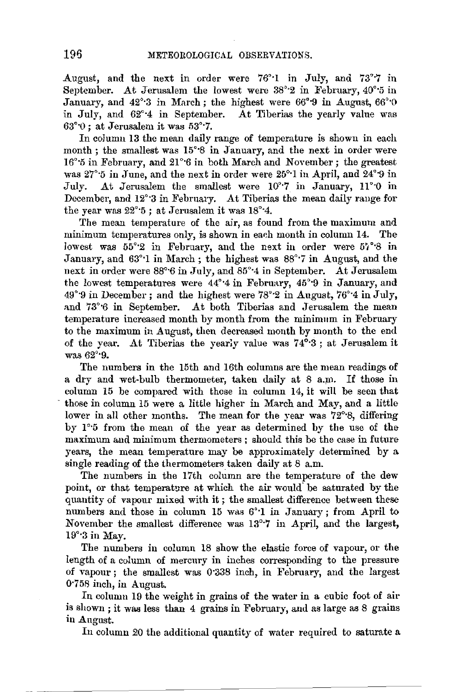August, and the next in order were 76°·1 in July, and 73°·7 in September. At Jerusalem the lowest were 38°·2 in February, 40°·5 in January, and 42°·3 in March; the highest were 66°·9 in August, 66°·0 in July, and 62°·4 in September. At Tiberias the yearly value was 63°·0 ; at Jerusalem it was 53°·7.

In column 13 the mean daily range of temperature is shown in each month ; the smallest was 15°·8 in January, and the next in order were 16°<sup>\*</sup>5 in February, and 21°<sup>\*6</sup> in both March and November; the greatest was 27°·5 in June, and the next in order were 25°·1 in April, and 24°·9 in July. At Jerusalem the smallest were 10'·7 in January, 11°·0 in December, and 12°·3 in February. At Tiberias the mean daily rauge for the year was 22°·5 ; at Jerusalem it was 18°·4.

The mean temperature of the air, as found from the maximum and minimum temperatures only, is shown in each month in column 14. The lowest was  $55^{\circ}2$  in February, and the next in order were  $57^{\circ}8$  in January, and 63°·1 in March; the highest was 88°·7 in August, and the next in order were 88°·6 in July, and 85°·4 in September. At Jerusalem the lowest temperatures were 44°·4 in February, 45°·9 in January, and 49°·9 in December; and the highest were 78°·2 in August, 76°'4 in July, and 73°6 in September. At both Tiberias and Jerusalem the mean temperature increased month by month from the minimum in February to the maximum in August, then decreased month by month to the end of the year. At Tiberias the yearly value was 74°·3; at Jerusalem it was 62°·9.

The numbers in the 15th and 16th columns are the mean readings of a dry and wet-bulb thermometer, taken daily at 8 a.m. If those in column 15 be compared with these in column 14, it will be seen that those in column 15 were a little higher in March and May, and a little lower in all other months. The mean for the year was 72°·8, differing by **1** °·5 from the mean of the year as determined by the use of the maximum and minimum thermometers ; should this be the case in future years, the mean temperature may be approximately determined by a single reading of the thermometers taken daily at 8 a.m.

The numbers in the 17th column are the temperature of the dew point, or that temperature at which the air would. be saturated by the quantity of vapour mixed with it ; the smallest difference between these numbers and those in column 15 was 6'·1 in January; from April to November the smallest difference was 13°·7 in April, and the largest, 19°·3 in May.

The numbers in column 18 show the elastic force of vapour, or the length of a column of mercury in inches corresponding to the pressure of vapour ; the smallest was 0'338 inch, in February, and the largest 0·758 inch, in August.

In column 19 the weight in grains of the water in a cubic foot of air is shown ; it was less than 4 grains in February, and as large as 8 grains in August.

In column 20 the additional quantity of water required to saturate a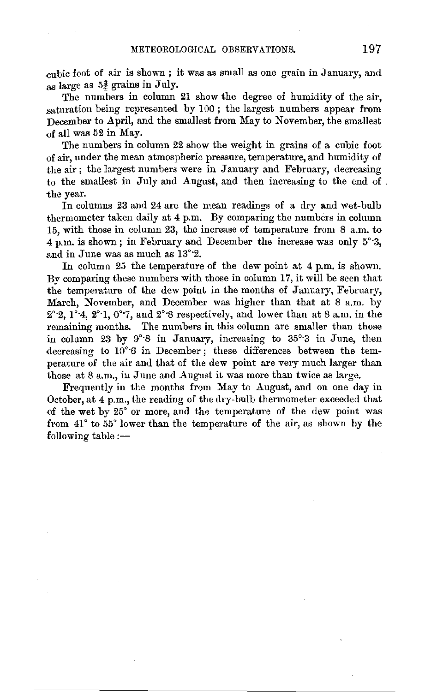$cubic$  foot of air is shown; it was as small as one grain in January, and as large as  $5\frac{3}{4}$  grains in July.

The numbers in column 21 show the degree of humidity of the air, saturation being represented by 100; the largest numbers appear from December to April, and the smallest from May to November, the smallest  $of$  all was 52 in May.

The numbers in column 22 show the weight in grains of a cubic foot of air, under the mean atmospheric pressure, temperature, and humidity of the air; the largest numbers were in January and February, decreasing to the smallest in July and August, and then increasing to the end of . the year.

In columns 23 and 24 are the mean readings of a dry and wet-bulb thermometer taken daily at 4 p.m. By comparing the numbers in column 15, with those in column 23, the increase of temperature from 8 a.m. to 4 p.m. is shown; in February and December the increase was only 5°·3, and in June was as much as 13°·2.

In column 25 the temperature of the dew point at 4 p.m. is shown. By comparing these numbers with those in column 17, it will be seen that the temperature of the dew point in the months of January, February, March, November, and December was higher than that at 8 a.m. by  $2^{\circ}$  2, 1<sup>o</sup><sup>-</sup>4, 2<sup>o</sup><sup>-</sup>1, 0<sup>o</sup><sup>-7</sup>, and 2<sup>o</sup><sup>-</sup>8 respectively, and lower than at 8 a.m. in the remaining months. The numbers in this column are smaller than those in column 23 by 9°·8 in January, increasing to 35°·3 in June, then decreasing to 10°·6 in December; these differences between the temperature of the air and that of the dew point are very much larger than those at 8 a.m., in June and August it was more than twice as large.

Frequently in the months from May to August, and on one day in October, at 4 p.m., the reading of the dry-bulb thermometer exceeded that of the wet by 25° or more, and the temperature of the dew point was from 41° to 55° lower than the temperature of the air, as shown hy the  $f$ ollowing table: $-$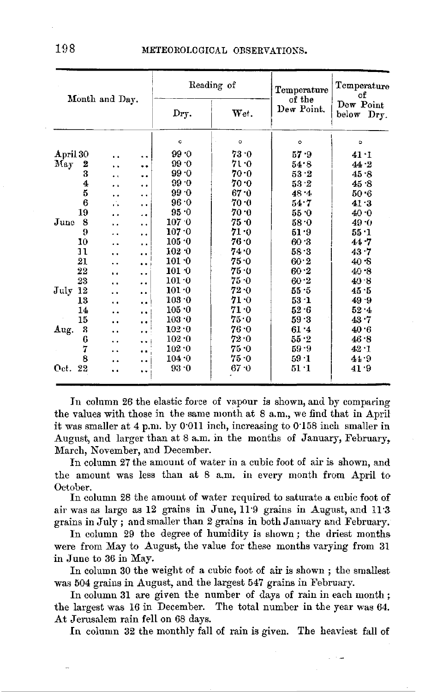|                     |                      |                      |               | Reading of | Temperature          | Temperature<br>of       |  |  |  |  |  |
|---------------------|----------------------|----------------------|---------------|------------|----------------------|-------------------------|--|--|--|--|--|
| Month and Day.      |                      |                      | Dry.          | Wet.       | of the<br>Dew Point. | Dew Point<br>below Dry. |  |  |  |  |  |
|                     |                      |                      | Ō             | $\circ$    | $\circ$              | ۰                       |  |  |  |  |  |
| April 30            |                      | $\ddot{\phantom{0}}$ | 99.0          | 73.0       | 57.9                 | 41.1                    |  |  |  |  |  |
| May<br>2            | . .                  |                      | 99.0          | 71.0       | 54.8                 | 44.2                    |  |  |  |  |  |
| 3                   | $\ddot{\phantom{0}}$ | . .                  | 99.0          | 70∙0       | 53.2                 | 45.8                    |  |  |  |  |  |
| 4                   |                      | . .                  | 99.0          | 70 0       | 53.2                 | 45.8                    |  |  |  |  |  |
| 5                   | . .                  | . .                  | $99 - 0$      | 67 0       | 48.4                 | 50 6                    |  |  |  |  |  |
| 6                   | ú.                   | . .                  | 96.0          | 70.0       | 54.7                 | 413                     |  |  |  |  |  |
| 19                  | $^{\circ}$           | . .                  | 95.0          | 70 O       | 55.0                 | 40 0                    |  |  |  |  |  |
| 8<br>June           |                      | $\ddot{\phantom{0}}$ | 107.0         | 75 .0      | 58.0                 | 49.0                    |  |  |  |  |  |
| 9                   |                      | $\ddot{\phantom{0}}$ | 107.0         | 71 O       | 51 9                 | 55 1                    |  |  |  |  |  |
| 10                  |                      | . .                  | 105.0         | 76.0       | 60.3                 | 447                     |  |  |  |  |  |
| 11                  |                      | . .                  | 102.0         | 74.0       | 58.3                 | 43.7                    |  |  |  |  |  |
| 21                  |                      | . .                  | 101.0         | $75 - 0$   | 60.2                 | 40.8                    |  |  |  |  |  |
| 22                  | $\ddot{\phantom{1}}$ | $\ddot{\phantom{a}}$ | $101 - 0$     | 75.0       | 60.2                 | 40.8                    |  |  |  |  |  |
| 23                  |                      | . .                  | $101 \cdot 0$ | 75 O       | 60.2                 | 40.8                    |  |  |  |  |  |
| $_{\rm July}$<br>12 |                      | . .                  | 101.0         | 72 0       | 55.5                 | 45.5                    |  |  |  |  |  |
| 13                  |                      | . .                  | 103.0         | 71 O       | 53 · 1               | 49.9                    |  |  |  |  |  |
| 14                  |                      |                      | 105.0         | 71.0       | $52 - 6$             | 52.4                    |  |  |  |  |  |
| 15                  | . .                  | $\ddot{\phantom{0}}$ | $103 - 0$     | 75.0       | 59.3                 | 43.7                    |  |  |  |  |  |
| 3<br>Aug.           |                      | . .                  | 102.0         | 76 0       | 61.4                 | 40.6                    |  |  |  |  |  |
| 6                   |                      | ٠.                   | 102.0         | 72.0       | 55.2                 | 46.8                    |  |  |  |  |  |
| 7                   |                      |                      | 102.0         | 75.0       | $59 - 9$             | 42.1                    |  |  |  |  |  |
| 8                   |                      | . .                  | 104.0         | 75 0       | $59 - 1$             | 44.9                    |  |  |  |  |  |
| Oct. 22             |                      | . .                  | $93 - 0$      | 67 0       | $51 \cdot 1$         | 41.9                    |  |  |  |  |  |

In column 26 the elastic force of vapour is shown, and by comparing the values with those in the same month at 8 a.m., we find that in April it was smaller at 4 p.m. by 0.011 inch, increasing to 0.158 inch smaller in August, and larger than at 8 a.m. in the months of January, February, March. November, and December.

In column 27 the amount of water in a cubic foot of air is shown, and the amount was less than at 8 a.m. in every month from April to October.

In column 28 the amount of water required to saturate a cubic foot of air was as large as 12 grains in June, 11.9 grains in August, and 11.3 grains in July; and smaller than 2 grains in both January and February.

In column 29 the degree of humidity is shown; the driest months were from May to August, the value for these months varying from 31 in June to 36 in May.

In column 30 the weight of a cubic foot of air is shown; the smallest was 504 grains in August, and the largest 547 grains in February.

In column 31 are given the number of days of rain in each month; the largest was 16 in December. The total number in the year was 64. At Jerusalem rain fell on 68 days.

In column 32 the monthly fall of rain is given. The heaviest fall of